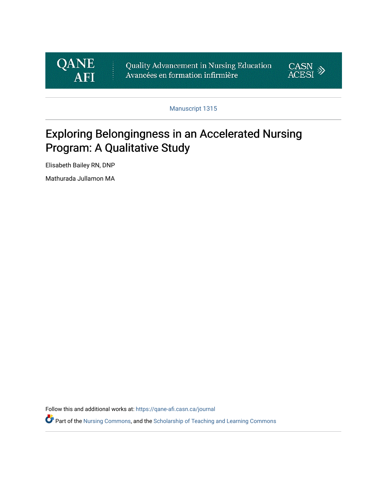

Quality Advancement in Nursing Education Avancées en formation infirmière



Manuscript 1315

# Exploring Belongingness in an Accelerated Nursing Program: A Qualitative Study

Elisabeth Bailey RN, DNP

Mathurada Jullamon MA

Follow this and additional works at: [https://qane-afi.casn.ca/journal](https://qane-afi.casn.ca/journal?utm_source=qane-afi.casn.ca%2Fjournal%2Fvol8%2Fiss2%2F7&utm_medium=PDF&utm_campaign=PDFCoverPages) 

Part of the [Nursing Commons](https://network.bepress.com/hgg/discipline/718?utm_source=qane-afi.casn.ca%2Fjournal%2Fvol8%2Fiss2%2F7&utm_medium=PDF&utm_campaign=PDFCoverPages), and the [Scholarship of Teaching and Learning Commons](https://network.bepress.com/hgg/discipline/1328?utm_source=qane-afi.casn.ca%2Fjournal%2Fvol8%2Fiss2%2F7&utm_medium=PDF&utm_campaign=PDFCoverPages)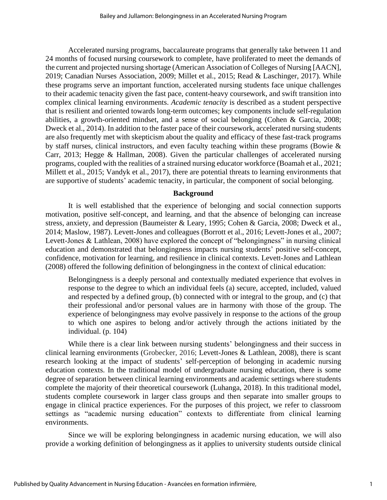Accelerated nursing programs, baccalaureate programs that generally take between 11 and 24 months of focused nursing coursework to complete, have proliferated to meet the demands of the current and projected nursing shortage (American Association of Colleges of Nursing [AACN], 2019; Canadian Nurses Association, 2009; Millet et al., 2015; Read & Laschinger, 2017). While these programs serve an important function, accelerated nursing students face unique challenges to their academic tenacity given the fast pace, content-heavy coursework, and swift transition into complex clinical learning environments. *Academic tenacity* is described as a student perspective that is resilient and oriented towards long-term outcomes; key components include self-regulation abilities, a growth-oriented mindset, and a sense of social belonging (Cohen & Garcia, 2008; Dweck et al., 2014). In addition to the faster pace of their coursework, accelerated nursing students are also frequently met with skepticism about the quality and efficacy of these fast-track programs by staff nurses, clinical instructors, and even faculty teaching within these programs (Bowie & Carr, 2013; Hegge & Hallman, 2008). Given the particular challenges of accelerated nursing programs, coupled with the realities of a strained nursing educator workforce (Boamah et al., 2021; Millett et al., 2015; Vandyk et al., 2017), there are potential threats to learning environments that are supportive of students' academic tenacity, in particular, the component of social belonging.

#### **Background**

It is well established that the experience of belonging and social connection supports motivation, positive self-concept, and learning, and that the absence of belonging can increase stress, anxiety, and depression (Baumeister & Leary, 1995; Cohen & Garcia, 2008; Dweck et al., 2014; Maslow, 1987). Levett-Jones and colleagues (Borrott et al., 2016; Levett-Jones et al., 2007; Levett-Jones & Lathlean, 2008) have explored the concept of "belongingness" in nursing clinical education and demonstrated that belongingness impacts nursing students' positive self-concept, confidence, motivation for learning, and resilience in clinical contexts. Levett-Jones and Lathlean (2008) offered the following definition of belongingness in the context of clinical education:

Belongingness is a deeply personal and contextually mediated experience that evolves in response to the degree to which an individual feels (a) secure, accepted, included, valued and respected by a defined group, (b) connected with or integral to the group, and (c) that their professional and/or personal values are in harmony with those of the group. The experience of belongingness may evolve passively in response to the actions of the group to which one aspires to belong and/or actively through the actions initiated by the individual. (p. 104)

While there is a clear link between nursing students' belongingness and their success in clinical learning environments (Grobecker, 2016; Levett-Jones & Lathlean, 2008), there is scant research looking at the impact of students' self-perception of belonging in academic nursing education contexts. In the traditional model of undergraduate nursing education, there is some degree of separation between clinical learning environments and academic settings where students complete the majority of their theoretical coursework (Luhanga, 2018). In this traditional model, students complete coursework in larger class groups and then separate into smaller groups to engage in clinical practice experiences. For the purposes of this project, we refer to classroom settings as "academic nursing education" contexts to differentiate from clinical learning environments.

Since we will be exploring belongingness in academic nursing education, we will also provide a working definition of belongingness as it applies to university students outside clinical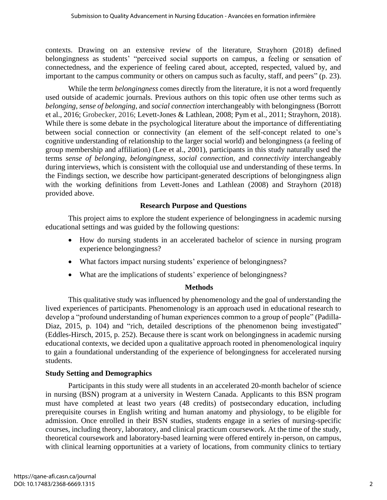contexts. Drawing on an extensive review of the literature, Strayhorn (2018) defined belongingness as students' "perceived social supports on campus, a feeling or sensation of connectedness, and the experience of feeling cared about, accepted, respected, valued by, and important to the campus community or others on campus such as faculty, staff, and peers" (p. 23).

While the term *belongingness* comes directly from the literature, it is not a word frequently used outside of academic journals. Previous authors on this topic often use other terms such as *belonging*, *sense of belonging*, and *social connection* interchangeably with belongingness (Borrott et al., 2016; Grobecker, 2016; Levett-Jones & Lathlean, 2008; Pym et al., 2011; Strayhorn, 2018). While there is some debate in the psychological literature about the importance of differentiating between social connection or connectivity (an element of the self-concept related to one's cognitive understanding of relationship to the larger social world) and belongingness (a feeling of group membership and affiliation) (Lee et al., 2001), participants in this study naturally used the terms *sense of belonging*, *belongingness*, *social connection*, and *connectivity* interchangeably during interviews, which is consistent with the colloquial use and understanding of these terms. In the Findings section, we describe how participant-generated descriptions of belongingness align with the working definitions from Levett-Jones and Lathlean (2008) and Strayhorn (2018) provided above.

## **Research Purpose and Questions**

This project aims to explore the student experience of belongingness in academic nursing educational settings and was guided by the following questions:

- How do nursing students in an accelerated bachelor of science in nursing program experience belongingness?
- What factors impact nursing students' experience of belongingness?
- What are the implications of students' experience of belongingness?

# **Methods**

This qualitative study was influenced by phenomenology and the goal of understanding the lived experiences of participants. Phenomenology is an approach used in educational research to develop a "profound understanding of human experiences common to a group of people" (Padilla-Diaz, 2015, p. 104) and "rich, detailed descriptions of the phenomenon being investigated" (Eddles-Hirsch, 2015, p. 252). Because there is scant work on belongingness in academic nursing educational contexts, we decided upon a qualitative approach rooted in phenomenological inquiry to gain a foundational understanding of the experience of belongingness for accelerated nursing students.

# **Study Setting and Demographics**

Participants in this study were all students in an accelerated 20-month bachelor of science in nursing (BSN) program at a university in Western Canada. Applicants to this BSN program must have completed at least two years (48 credits) of postsecondary education, including prerequisite courses in English writing and human anatomy and physiology, to be eligible for admission. Once enrolled in their BSN studies, students engage in a series of nursing-specific courses, including theory, laboratory, and clinical practicum coursework. At the time of the study, theoretical coursework and laboratory-based learning were offered entirely in-person, on campus, with clinical learning opportunities at a variety of locations, from community clinics to tertiary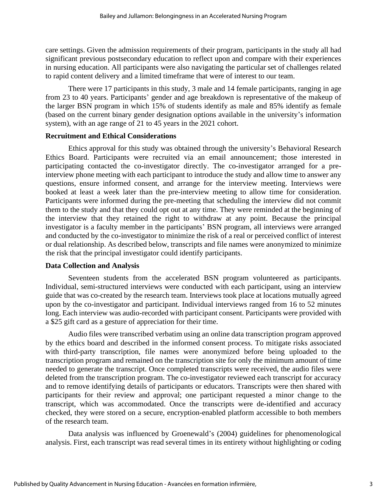care settings. Given the admission requirements of their program, participants in the study all had significant previous postsecondary education to reflect upon and compare with their experiences in nursing education. All participants were also navigating the particular set of challenges related to rapid content delivery and a limited timeframe that were of interest to our team.

There were 17 participants in this study, 3 male and 14 female participants, ranging in age from 23 to 40 years. Participants' gender and age breakdown is representative of the makeup of the larger BSN program in which 15% of students identify as male and 85% identify as female (based on the current binary gender designation options available in the university's information system), with an age range of 21 to 45 years in the 2021 cohort.

## **Recruitment and Ethical Considerations**

Ethics approval for this study was obtained through the university's Behavioral Research Ethics Board. Participants were recruited via an email announcement; those interested in participating contacted the co-investigator directly. The co-investigator arranged for a preinterview phone meeting with each participant to introduce the study and allow time to answer any questions, ensure informed consent, and arrange for the interview meeting. Interviews were booked at least a week later than the pre-interview meeting to allow time for consideration. Participants were informed during the pre-meeting that scheduling the interview did not commit them to the study and that they could opt out at any time. They were reminded at the beginning of the interview that they retained the right to withdraw at any point. Because the principal investigator is a faculty member in the participants' BSN program, all interviews were arranged and conducted by the co-investigator to minimize the risk of a real or perceived conflict of interest or dual relationship. As described below, transcripts and file names were anonymized to minimize the risk that the principal investigator could identify participants.

#### **Data Collection and Analysis**

Seventeen students from the accelerated BSN program volunteered as participants. Individual, semi-structured interviews were conducted with each participant, using an interview guide that was co-created by the research team. Interviews took place at locations mutually agreed upon by the co-investigator and participant. Individual interviews ranged from 16 to 52 minutes long. Each interview was audio-recorded with participant consent. Participants were provided with a \$25 gift card as a gesture of appreciation for their time.

Audio files were transcribed verbatim using an online data transcription program approved by the ethics board and described in the informed consent process. To mitigate risks associated with third-party transcription, file names were anonymized before being uploaded to the transcription program and remained on the transcription site for only the minimum amount of time needed to generate the transcript. Once completed transcripts were received, the audio files were deleted from the transcription program. The co-investigator reviewed each transcript for accuracy and to remove identifying details of participants or educators. Transcripts were then shared with participants for their review and approval; one participant requested a minor change to the transcript, which was accommodated. Once the transcripts were de-identified and accuracy checked, they were stored on a secure, encryption-enabled platform accessible to both members of the research team.

Data analysis was influenced by Groenewald's (2004) guidelines for phenomenological analysis. First, each transcript was read several times in its entirety without highlighting or coding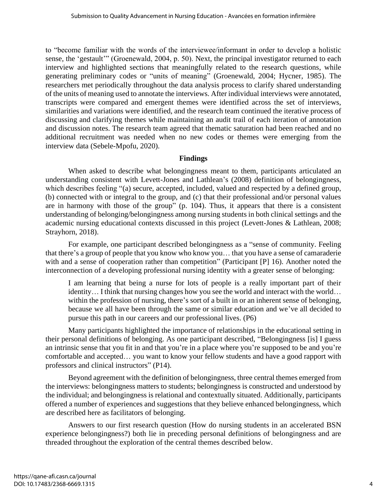to "become familiar with the words of the interviewee/informant in order to develop a holistic sense, the 'gestault'" (Groenewald, 2004, p. 50). Next, the principal investigator returned to each interview and highlighted sections that meaningfully related to the research questions, while generating preliminary codes or "units of meaning" (Groenewald, 2004; Hycner, 1985). The researchers met periodically throughout the data analysis process to clarify shared understanding of the units of meaning used to annotate the interviews. After individual interviews were annotated, transcripts were compared and emergent themes were identified across the set of interviews, similarities and variations were identified, and the research team continued the iterative process of discussing and clarifying themes while maintaining an audit trail of each iteration of annotation and discussion notes. The research team agreed that thematic saturation had been reached and no additional recruitment was needed when no new codes or themes were emerging from the interview data (Sebele-Mpofu, 2020).

#### **Findings**

When asked to describe what belongingness meant to them, participants articulated an understanding consistent with Levett-Jones and Lathlean's (2008) definition of belongingness, which describes feeling "(a) secure, accepted, included, valued and respected by a defined group, (b) connected with or integral to the group, and (c) that their professional and/or personal values are in harmony with those of the group" (p. 104). Thus, it appears that there is a consistent understanding of belonging/belongingness among nursing students in both clinical settings and the academic nursing educational contexts discussed in this project (Levett-Jones & Lathlean, 2008; Strayhorn, 2018).

For example, one participant described belongingness as a "sense of community. Feeling that there's a group of people that you know who know you… that you have a sense of camaraderie with and a sense of cooperation rather than competition" (Participant [P] 16). Another noted the interconnection of a developing professional nursing identity with a greater sense of belonging:

I am learning that being a nurse for lots of people is a really important part of their identity… I think that nursing changes how you see the world and interact with the world… within the profession of nursing, there's sort of a built in or an inherent sense of belonging, because we all have been through the same or similar education and we've all decided to pursue this path in our careers and our professional lives. (P6)

Many participants highlighted the importance of relationships in the educational setting in their personal definitions of belonging. As one participant described, "Belongingness [is] I guess an intrinsic sense that you fit in and that you're in a place where you're supposed to be and you're comfortable and accepted… you want to know your fellow students and have a good rapport with professors and clinical instructors" (P14).

Beyond agreement with the definition of belongingness, three central themes emerged from the interviews: belongingness matters to students; belongingness is constructed and understood by the individual; and belongingness is relational and contextually situated. Additionally, participants offered a number of experiences and suggestions that they believe enhanced belongingness, which are described here as facilitators of belonging.

Answers to our first research question (How do nursing students in an accelerated BSN experience belongingness?) both lie in preceding personal definitions of belongingness and are threaded throughout the exploration of the central themes described below.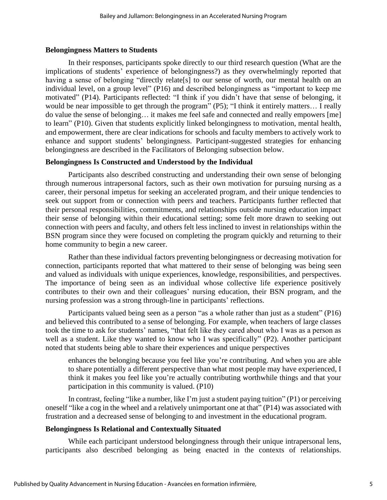#### **Belongingness Matters to Students**

In their responses, participants spoke directly to our third research question (What are the implications of students' experience of belongingness?) as they overwhelmingly reported that having a sense of belonging "directly relate[s] to our sense of worth, our mental health on an individual level, on a group level" (P16) and described belongingness as "important to keep me motivated" (P14). Participants reflected: "I think if you didn't have that sense of belonging, it would be near impossible to get through the program" (P5); "I think it entirely matters... I really do value the sense of belonging… it makes me feel safe and connected and really empowers [me] to learn" (P10). Given that students explicitly linked belongingness to motivation, mental health, and empowerment, there are clear indications for schools and faculty members to actively work to enhance and support students' belongingness. Participant-suggested strategies for enhancing belongingness are described in the Facilitators of Belonging subsection below.

## **Belongingness Is Constructed and Understood by the Individual**

Participants also described constructing and understanding their own sense of belonging through numerous intrapersonal factors, such as their own motivation for pursuing nursing as a career, their personal impetus for seeking an accelerated program, and their unique tendencies to seek out support from or connection with peers and teachers. Participants further reflected that their personal responsibilities, commitments, and relationships outside nursing education impact their sense of belonging within their educational setting; some felt more drawn to seeking out connection with peers and faculty, and others felt less inclined to invest in relationships within the BSN program since they were focused on completing the program quickly and returning to their home community to begin a new career.

Rather than these individual factors preventing belongingness or decreasing motivation for connection, participants reported that what mattered to their sense of belonging was being seen and valued as individuals with unique experiences, knowledge, responsibilities, and perspectives. The importance of being seen as an individual whose collective life experience positively contributes to their own and their colleagues' nursing education, their BSN program, and the nursing profession was a strong through-line in participants' reflections.

Participants valued being seen as a person "as a whole rather than just as a student" (P16) and believed this contributed to a sense of belonging. For example, when teachers of large classes took the time to ask for students' names, "that felt like they cared about who I was as a person as well as a student. Like they wanted to know who I was specifically" (P2). Another participant noted that students being able to share their experiences and unique perspectives

enhances the belonging because you feel like you're contributing. And when you are able to share potentially a different perspective than what most people may have experienced, I think it makes you feel like you're actually contributing worthwhile things and that your participation in this community is valued. (P10)

In contrast, feeling "like a number, like I'm just a student paying tuition" (P1) or perceiving oneself "like a cog in the wheel and a relatively unimportant one at that" (P14) was associated with frustration and a decreased sense of belonging to and investment in the educational program.

# **Belongingness Is Relational and Contextually Situated**

While each participant understood belongingness through their unique intrapersonal lens, participants also described belonging as being enacted in the contexts of relationships.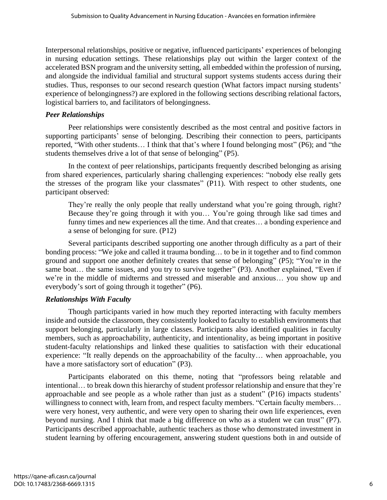Interpersonal relationships, positive or negative, influenced participants' experiences of belonging in nursing education settings. These relationships play out within the larger context of the accelerated BSN program and the university setting, all embedded within the profession of nursing, and alongside the individual familial and structural support systems students access during their studies. Thus, responses to our second research question (What factors impact nursing students' experience of belongingness?) are explored in the following sections describing relational factors, logistical barriers to, and facilitators of belongingness.

## *Peer Relationships*

Peer relationships were consistently described as the most central and positive factors in supporting participants' sense of belonging. Describing their connection to peers, participants reported, "With other students… I think that that's where I found belonging most" (P6); and "the students themselves drive a lot of that sense of belonging" (P5).

In the context of peer relationships, participants frequently described belonging as arising from shared experiences, particularly sharing challenging experiences: "nobody else really gets the stresses of the program like your classmates" (P11). With respect to other students, one participant observed:

They're really the only people that really understand what you're going through, right? Because they're going through it with you… You're going through like sad times and funny times and new experiences all the time. And that creates… a bonding experience and a sense of belonging for sure. (P12)

Several participants described supporting one another through difficulty as a part of their bonding process: "We joke and called it trauma bonding… to be in it together and to find common ground and support one another definitely creates that sense of belonging" (P5); "You're in the same boat... the same issues, and you try to survive together" (P3). Another explained, "Even if we're in the middle of midterms and stressed and miserable and anxious… you show up and everybody's sort of going through it together" (P6).

#### *Relationships With Faculty*

Though participants varied in how much they reported interacting with faculty members inside and outside the classroom, they consistently looked to faculty to establish environments that support belonging, particularly in large classes. Participants also identified qualities in faculty members, such as approachability, authenticity, and intentionality, as being important in positive student-faculty relationships and linked these qualities to satisfaction with their educational experience: "It really depends on the approachability of the faculty… when approachable, you have a more satisfactory sort of education" (P3).

Participants elaborated on this theme, noting that "professors being relatable and intentional… to break down this hierarchy of student professor relationship and ensure that they're approachable and see people as a whole rather than just as a student" (P16) impacts students' willingness to connect with, learn from, and respect faculty members. "Certain faculty members... were very honest, very authentic, and were very open to sharing their own life experiences, even beyond nursing. And I think that made a big difference on who as a student we can trust" (P7). Participants described approachable, authentic teachers as those who demonstrated investment in student learning by offering encouragement, answering student questions both in and outside of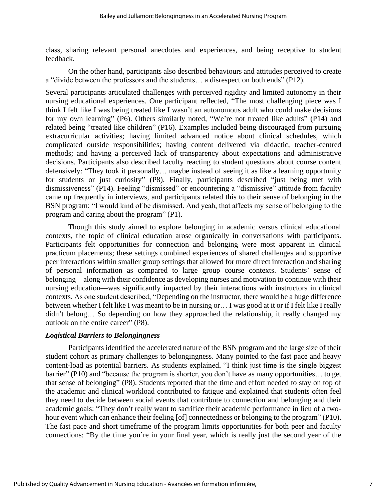class, sharing relevant personal anecdotes and experiences, and being receptive to student feedback.

On the other hand, participants also described behaviours and attitudes perceived to create a "divide between the professors and the students… a disrespect on both ends" (P12).

Several participants articulated challenges with perceived rigidity and limited autonomy in their nursing educational experiences. One participant reflected, "The most challenging piece was I think I felt like I was being treated like I wasn't an autonomous adult who could make decisions for my own learning" (P6). Others similarly noted, "We're not treated like adults" (P14) and related being "treated like children" (P16). Examples included being discouraged from pursuing extracurricular activities; having limited advanced notice about clinical schedules, which complicated outside responsibilities; having content delivered via didactic, teacher-centred methods; and having a perceived lack of transparency about expectations and administrative decisions. Participants also described faculty reacting to student questions about course content defensively: "They took it personally… maybe instead of seeing it as like a learning opportunity for students or just curiosity" (P8). Finally, participants described "just being met with dismissiveness" (P14). Feeling "dismissed" or encountering a "dismissive" attitude from faculty came up frequently in interviews, and participants related this to their sense of belonging in the BSN program: "I would kind of be dismissed. And yeah, that affects my sense of belonging to the program and caring about the program" (P1).

Though this study aimed to explore belonging in academic versus clinical educational contexts, the topic of clinical education arose organically in conversations with participants. Participants felt opportunities for connection and belonging were most apparent in clinical practicum placements; these settings combined experiences of shared challenges and supportive peer interactions within smaller group settings that allowed for more direct interaction and sharing of personal information as compared to large group course contexts. Students' sense of belonging—along with their confidence as developing nurses and motivation to continue with their nursing education—was significantly impacted by their interactions with instructors in clinical contexts. As one student described, "Depending on the instructor, there would be a huge difference between whether I felt like I was meant to be in nursing or… I was good at it or if I felt like I really didn't belong… So depending on how they approached the relationship, it really changed my outlook on the entire career" (P8).

#### *Logistical Barriers to Belongingness*

Participants identified the accelerated nature of the BSN program and the large size of their student cohort as primary challenges to belongingness. Many pointed to the fast pace and heavy content-load as potential barriers. As students explained, "I think just time is the single biggest barrier" (P10) and "because the program is shorter, you don't have as many opportunities… to get that sense of belonging" (P8). Students reported that the time and effort needed to stay on top of the academic and clinical workload contributed to fatigue and explained that students often feel they need to decide between social events that contribute to connection and belonging and their academic goals: "They don't really want to sacrifice their academic performance in lieu of a twohour event which can enhance their feeling [of] connectedness or belonging to the program" (P10). The fast pace and short timeframe of the program limits opportunities for both peer and faculty connections: "By the time you're in your final year, which is really just the second year of the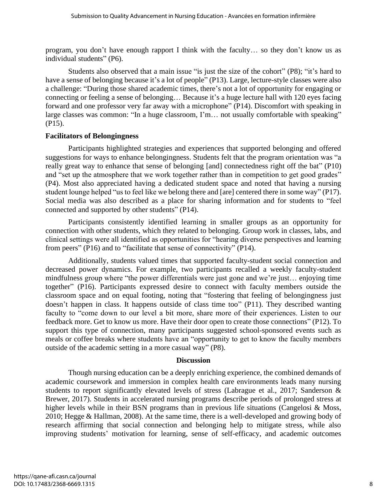program, you don't have enough rapport I think with the faculty… so they don't know us as individual students" (P6).

Students also observed that a main issue "is just the size of the cohort" (P8); "it's hard to have a sense of belonging because it's a lot of people" (P13). Large, lecture-style classes were also a challenge: "During those shared academic times, there's not a lot of opportunity for engaging or connecting or feeling a sense of belonging… Because it's a huge lecture hall with 120 eyes facing forward and one professor very far away with a microphone" (P14). Discomfort with speaking in large classes was common: "In a huge classroom, I'm... not usually comfortable with speaking" (P15).

#### **Facilitators of Belongingness**

Participants highlighted strategies and experiences that supported belonging and offered suggestions for ways to enhance belongingness. Students felt that the program orientation was "a really great way to enhance that sense of belonging [and] connectedness right off the bat" (P10) and "set up the atmosphere that we work together rather than in competition to get good grades" (P4). Most also appreciated having a dedicated student space and noted that having a nursing student lounge helped "us to feel like we belong there and [are] centered there in some way" (P17). Social media was also described as a place for sharing information and for students to "feel connected and supported by other students" (P14).

Participants consistently identified learning in smaller groups as an opportunity for connection with other students, which they related to belonging. Group work in classes, labs, and clinical settings were all identified as opportunities for "hearing diverse perspectives and learning from peers" (P16) and to "facilitate that sense of connectivity" (P14).

Additionally, students valued times that supported faculty-student social connection and decreased power dynamics. For example, two participants recalled a weekly faculty-student mindfulness group where "the power differentials were just gone and we're just… enjoying time together" (P16). Participants expressed desire to connect with faculty members outside the classroom space and on equal footing, noting that "fostering that feeling of belongingness just doesn't happen in class. It happens outside of class time too" (P11). They described wanting faculty to "come down to our level a bit more, share more of their experiences. Listen to our feedback more. Get to know us more. Have their door open to create those connections" (P12). To support this type of connection, many participants suggested school-sponsored events such as meals or coffee breaks where students have an "opportunity to get to know the faculty members outside of the academic setting in a more casual way" (P8).

#### **Discussion**

Though nursing education can be a deeply enriching experience, the combined demands of academic coursework and immersion in complex health care environments leads many nursing students to report significantly elevated levels of stress (Labrague et al., 2017; Sanderson & Brewer, 2017). Students in accelerated nursing programs describe periods of prolonged stress at higher levels while in their BSN programs than in previous life situations (Cangelosi & Moss, 2010; Hegge & Hallman, 2008). At the same time, there is a well-developed and growing body of research affirming that social connection and belonging help to mitigate stress, while also improving students' motivation for learning, sense of self-efficacy, and academic outcomes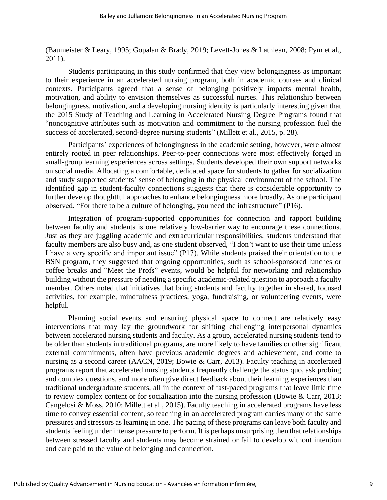(Baumeister & Leary, 1995; Gopalan & Brady, 2019; Levett-Jones & Lathlean, 2008; Pym et al., 2011).

Students participating in this study confirmed that they view belongingness as important to their experience in an accelerated nursing program, both in academic courses and clinical contexts. Participants agreed that a sense of belonging positively impacts mental health, motivation, and ability to envision themselves as successful nurses. This relationship between belongingness, motivation, and a developing nursing identity is particularly interesting given that the 2015 Study of Teaching and Learning in Accelerated Nursing Degree Programs found that "noncognitive attributes such as motivation and commitment to the nursing profession fuel the success of accelerated, second-degree nursing students" (Millett et al., 2015, p. 28).

Participants' experiences of belongingness in the academic setting, however, were almost entirely rooted in peer relationships. Peer-to-peer connections were most effectively forged in small-group learning experiences across settings. Students developed their own support networks on social media. Allocating a comfortable, dedicated space for students to gather for socialization and study supported students' sense of belonging in the physical environment of the school. The identified gap in student-faculty connections suggests that there is considerable opportunity to further develop thoughtful approaches to enhance belongingness more broadly. As one participant observed, "For there to be a culture of belonging, you need the infrastructure" (P16).

Integration of program-supported opportunities for connection and rapport building between faculty and students is one relatively low-barrier way to encourage these connections. Just as they are juggling academic and extracurricular responsibilities, students understand that faculty members are also busy and, as one student observed, "I don't want to use their time unless I have a very specific and important issue" (P17). While students praised their orientation to the BSN program, they suggested that ongoing opportunities, such as school-sponsored lunches or coffee breaks and "Meet the Profs" events, would be helpful for networking and relationship building without the pressure of needing a specific academic-related question to approach a faculty member. Others noted that initiatives that bring students and faculty together in shared, focused activities, for example, mindfulness practices, yoga, fundraising, or volunteering events, were helpful.

Planning social events and ensuring physical space to connect are relatively easy interventions that may lay the groundwork for shifting challenging interpersonal dynamics between accelerated nursing students and faculty. As a group, accelerated nursing students tend to be older than students in traditional programs, are more likely to have families or other significant external commitments, often have previous academic degrees and achievement, and come to nursing as a second career (AACN, 2019; Bowie & Carr, 2013). Faculty teaching in accelerated programs report that accelerated nursing students frequently challenge the status quo, ask probing and complex questions, and more often give direct feedback about their learning experiences than traditional undergraduate students, all in the context of fast-paced programs that leave little time to review complex content or for socialization into the nursing profession (Bowie & Carr, 2013; Cangelosi & Moss, 2010: Millett et al., 2015). Faculty teaching in accelerated programs have less time to convey essential content, so teaching in an accelerated program carries many of the same pressures and stressors as learning in one. The pacing of these programs can leave both faculty and students feeling under intense pressure to perform. It is perhaps unsurprising then that relationships between stressed faculty and students may become strained or fail to develop without intention and care paid to the value of belonging and connection.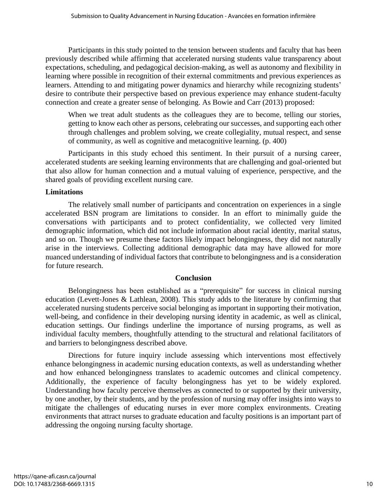Participants in this study pointed to the tension between students and faculty that has been previously described while affirming that accelerated nursing students value transparency about expectations, scheduling, and pedagogical decision-making, as well as autonomy and flexibility in learning where possible in recognition of their external commitments and previous experiences as learners. Attending to and mitigating power dynamics and hierarchy while recognizing students' desire to contribute their perspective based on previous experience may enhance student-faculty connection and create a greater sense of belonging. As Bowie and Carr (2013) proposed:

When we treat adult students as the colleagues they are to become, telling our stories, getting to know each other as persons, celebrating our successes, and supporting each other through challenges and problem solving, we create collegiality, mutual respect, and sense of community, as well as cognitive and metacognitive learning. (p. 400)

Participants in this study echoed this sentiment. In their pursuit of a nursing career, accelerated students are seeking learning environments that are challenging and goal-oriented but that also allow for human connection and a mutual valuing of experience, perspective, and the shared goals of providing excellent nursing care.

## **Limitations**

The relatively small number of participants and concentration on experiences in a single accelerated BSN program are limitations to consider. In an effort to minimally guide the conversations with participants and to protect confidentiality, we collected very limited demographic information, which did not include information about racial identity, marital status, and so on. Though we presume these factors likely impact belongingness, they did not naturally arise in the interviews. Collecting additional demographic data may have allowed for more nuanced understanding of individual factors that contribute to belongingness and is a consideration for future research.

#### **Conclusion**

Belongingness has been established as a "prerequisite" for success in clinical nursing education (Levett-Jones & Lathlean, 2008). This study adds to the literature by confirming that accelerated nursing students perceive social belonging as important in supporting their motivation, well-being, and confidence in their developing nursing identity in academic, as well as clinical, education settings. Our findings underline the importance of nursing programs, as well as individual faculty members, thoughtfully attending to the structural and relational facilitators of and barriers to belongingness described above.

Directions for future inquiry include assessing which interventions most effectively enhance belongingness in academic nursing education contexts, as well as understanding whether and how enhanced belongingness translates to academic outcomes and clinical competency. Additionally, the experience of faculty belongingness has yet to be widely explored. Understanding how faculty perceive themselves as connected to or supported by their university, by one another, by their students, and by the profession of nursing may offer insights into ways to mitigate the challenges of educating nurses in ever more complex environments. Creating environments that attract nurses to graduate education and faculty positions is an important part of addressing the ongoing nursing faculty shortage.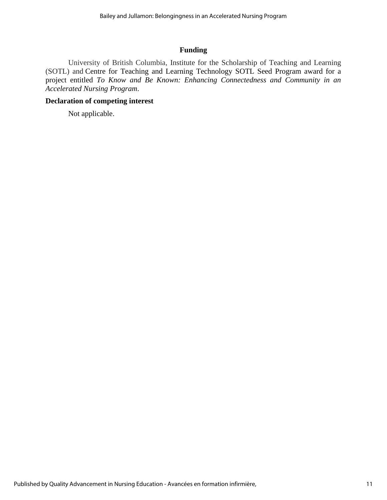## **Funding**

University of British Columbia, Institute for the Scholarship of Teaching and Learning (SOTL) and Centre for Teaching and Learning Technology SOTL Seed Program award for a project entitled *To Know and Be Known: Enhancing Connectedness and Community in an Accelerated Nursing Program*.

# **Declaration of competing interest**

Not applicable.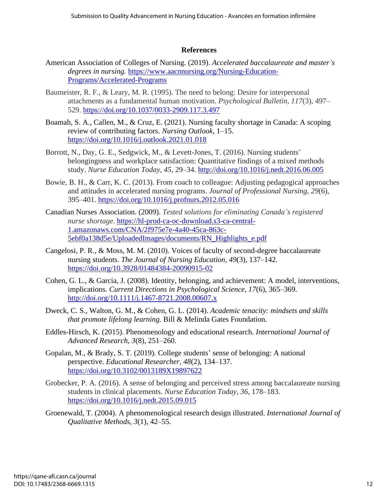## **References**

- American Association of Colleges of Nursing. (2019). *Accelerated baccalaureate and master's degrees in nursing.* https://www.aacnnursing.org/Nursing-Education-Programs/Accelerated-Programs
- Baumeister, R. F., & Leary, M. R. (1995). The need to belong: Desire for interpersonal attachments as a fundamental human motivation. *Psychological Bulletin, 117*(3), 497– 529. https://doi.org/10.1037/0033-2909.117.3.497
- Boamah, S. A., Callen, M., & Cruz, E. (2021). Nursing faculty shortage in Canada: A scoping review of contributing factors. *Nursing Outlook*, 1–15. https://doi.org/10.1016/j.outlook.2021.01.018
- Borrott, N., Day, G. E., Sedgwick, M., & Levett-Jones, T. (2016). Nursing students' belongingness and workplace satisfaction: Quantitative findings of a mixed methods study. *Nurse Education Today, 45*, 29–34. http://doi.org/10.1016/j.nedt.2016.06.005
- Bowie, B. H., & Carr, K. C. (2013). From coach to colleague: Adjusting pedagogical approaches and attitudes in accelerated nursing programs. *Journal of Professional Nursing*, *29*(6), 395–401. https://doi.org/10.1016/j.profnurs.2012.05.016
- Canadian Nurses Association. (2009). *Tested solutions for eliminating Canada's registered nurse shortage*. [https://hl-prod-ca-oc-download.s3-ca-central-](https://hl-prod-ca-oc-download.s3-ca-central-1.amazonaws.com/CNA/2f975e7e-4a40-45ca-863c-5ebf0a138d5e/UploadedImages/documents/RN_Highlights_e.pdf)[1.amazonaws.com/CNA/2f975e7e-4a40-45ca-863c-](https://hl-prod-ca-oc-download.s3-ca-central-1.amazonaws.com/CNA/2f975e7e-4a40-45ca-863c-5ebf0a138d5e/UploadedImages/documents/RN_Highlights_e.pdf)[5ebf0a138d5e/UploadedImages/documents/RN\\_Highlights\\_e.pdf](https://hl-prod-ca-oc-download.s3-ca-central-1.amazonaws.com/CNA/2f975e7e-4a40-45ca-863c-5ebf0a138d5e/UploadedImages/documents/RN_Highlights_e.pdf)
- Cangelosi, P. R., & Moss, M. M. (2010). Voices of faculty of second-degree baccalaureate nursing students. *The Journal of Nursing Education*, *49*(3), 137–142. <https://doi.org/10.3928/01484384-20090915-02>
- Cohen, G. L., & Garcia, J. (2008). Identity, belonging, and achievement: A model, interventions, implications. *Current Directions in Psychological Science, 17*(6), 365–369. http://doi.org/10.1111/j.1467-8721.2008.00607.x
- Dweck, C. S., Walton, G. M., & Cohen, G. L. (2014). *Academic tenacity: mindsets and skills that promote lifelong learning.* Bill & Melinda Gates Foundation.
- Eddles-Hirsch, K. (2015). Phenomenology and educational research. *International Journal of Advanced Research, 3*(8), 251–260.
- Gopalan, M., & Brady, S. T. (2019). College students' sense of belonging: A national perspective. *Educational Researcher, 48*(2), 134–137. https://doi.org/10.3102/0013189X19897622
- Grobecker, P. A. (2016). A sense of belonging and perceived stress among baccalaureate nursing students in clinical placements. *Nurse Education Today, 36*, 178–183. https://doi.org/10.1016/j.nedt.2015.09.015
- Groenewald, T. (2004). A phenomenological research design illustrated. *International Journal of Qualitative Methods, 3*(1), 42–55.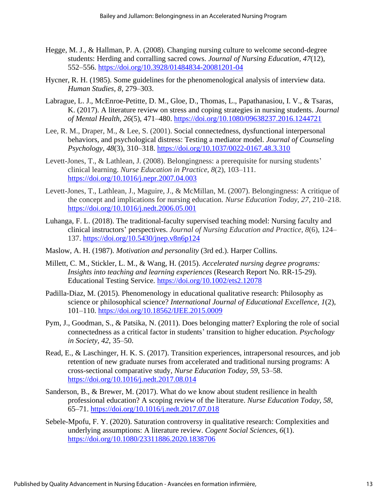- Hegge, M. J., & Hallman, P. A. (2008). Changing nursing culture to welcome second-degree students: Herding and corralling sacred cows. *Journal of Nursing Education*, *47*(12), 552–556. https://doi.org/10.3928/01484834-20081201-04
- Hycner, R. H. (1985). Some guidelines for the phenomenological analysis of interview data. *Human Studies, 8,* 279–303.
- Labrague, L. J., McEnroe-Petitte, D. M., Gloe, D., Thomas, L., Papathanasiou, I. V., & Tsaras, K. (2017). A literature review on stress and coping strategies in nursing students. *Journal of Mental Health, 26*(5), 471–480. https://doi.org/10.1080/09638237.2016.1244721
- Lee, R. M., Draper, M., & Lee, S. (2001). Social connectedness, dysfunctional interpersonal behaviors, and psychological distress: Testing a mediator model. *Journal of Counseling Psychology*, *48*(3), 310–318. https://doi.org/10.1037/0022-0167.48.3.310
- Levett-Jones, T., & Lathlean, J. (2008). Belongingness: a prerequisite for nursing students' clinical learning. *Nurse Education in Practice, 8*(2), 103–111. https://doi.org/10.1016/j.nepr.2007.04.003
- Levett-Jones, T., Lathlean, J., Maguire, J., & McMillan, M. (2007). Belongingness: A critique of the concept and implications for nursing education. *Nurse Education Today, 27*, 210–218. https://doi.org/10.1016/j.nedt.2006.05.001
- Luhanga, F. L. (2018). The traditional-faculty supervised teaching model: Nursing faculty and clinical instructors' perspectives. *Journal of Nursing Education and Practice, 8*(6), 124– 137. https://doi.org/10.5430/jnep.v8n6p124
- Maslow, A. H. (1987). *Motivation and personality* (3rd ed.). Harper Collins.
- Millett, C. M., Stickler, L. M., & Wang, H. (2015). *Accelerated nursing degree programs: Insights into teaching and learning experiences* (Research Report No. RR-15-29). Educational Testing Service. https://doi.org/10.1002/ets2.12078
- Padilla-Diaz, M. (2015). Phenomenology in educational qualitative research: Philosophy as science or philosophical science? *International Journal of Educational Excellence, 1*(2), 101–110. https://doi.org/10.18562/IJEE.2015.0009
- Pym, J., Goodman, S., & Patsika, N. (2011). Does belonging matter? Exploring the role of social connectedness as a critical factor in students' transition to higher education. *Psychology in Society, 42*, 35–50.
- Read, E., & Laschinger, H. K. S. (2017). Transition experiences, intrapersonal resources, and job retention of new graduate nurses from accelerated and traditional nursing programs: A cross-sectional comparative study, *Nurse Education Today, 59*, 53–58. https://doi.org/10.1016/j.nedt.2017.08.014
- Sanderson, B., & Brewer, M. (2017). What do we know about student resilience in health professional education? A scoping review of the literature. *Nurse Education Today, 58*, 65–71. https://doi.org/10.1016/j.nedt.2017.07.018
- Sebele-Mpofu, F. Y. (2020). Saturation controversy in qualitative research: Complexities and underlying assumptions: A literature review. *Cogent Social Sciences, 6*(1). https://doi.org/10.1080/23311886.2020.1838706